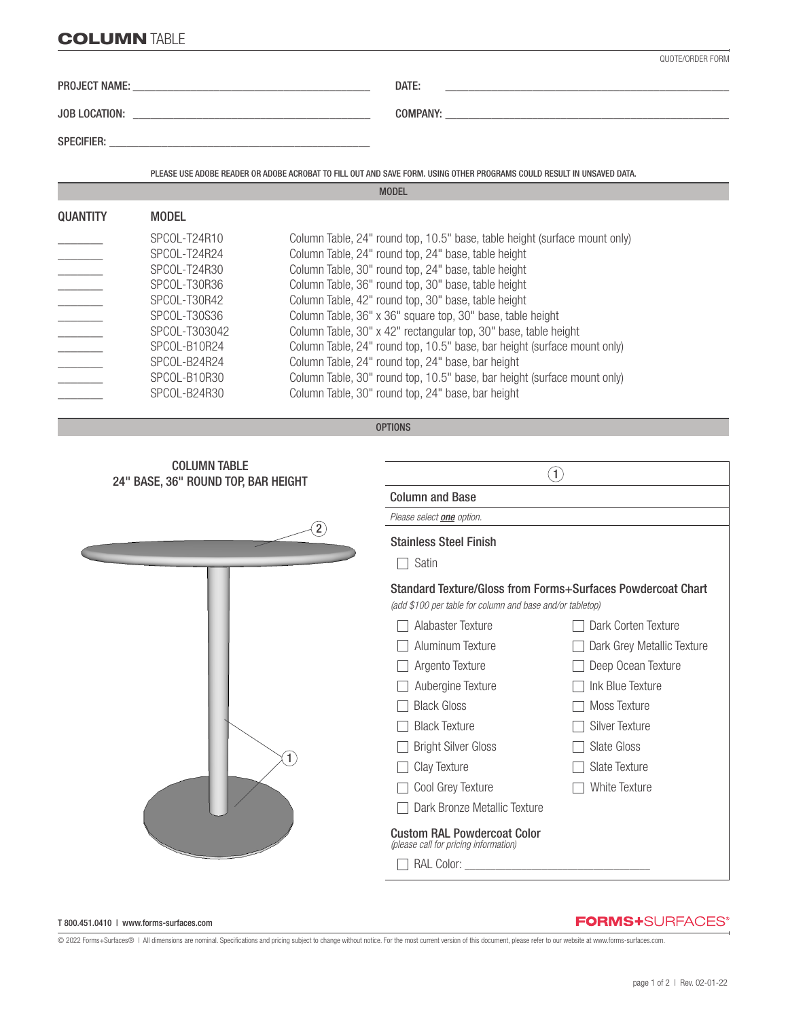# **COLUMN TABLE**

|                          |                              | QUOTF/ORDER FORM                                                                                                                  |
|--------------------------|------------------------------|-----------------------------------------------------------------------------------------------------------------------------------|
|                          |                              | DATE:<br>the control of the control of the control of the control of the control of the control of                                |
|                          |                              |                                                                                                                                   |
|                          |                              |                                                                                                                                   |
|                          |                              | PLEASE USE ADOBE READER OR ADOBE ACROBAT TO FILL OUT AND SAVE FORM. USING OTHER PROGRAMS COULD RESULT IN UNSAVED DATA.            |
|                          |                              | <b>MODEL</b>                                                                                                                      |
| <b>QUANTITY</b>          | <b>MODEL</b>                 |                                                                                                                                   |
|                          | SPCOL-T24R10<br>SPCOL-T24R24 | Column Table, 24" round top, 10.5" base, table height (surface mount only)<br>Column Table, 24" round top, 24" base, table height |
| $\overline{\phantom{a}}$ | SPCOL-T24R30                 | Column Table, 30" round top, 24" base, table height                                                                               |
| $\frac{1}{2}$            | SPCOL-T30R36                 | Column Table, 36" round top, 30" base, table height                                                                               |
| $\overline{a}$           | SPCOL-T30R42                 | Column Table, 42" round top, 30" base, table height                                                                               |
| $\overline{\phantom{a}}$ | SPCOL-T30S36                 | Column Table, 36" x 36" square top, 30" base, table height                                                                        |
|                          | SPCOL-T303042                | Column Table, 30" x 42" rectangular top, 30" base, table height                                                                   |
| $\overline{\phantom{a}}$ | SPCOL-B10R24                 | Column Table, 24" round top, 10.5" base, bar height (surface mount only)                                                          |
|                          | SPCOL-B24R24                 | Column Table, 24" round top, 24" base, bar height                                                                                 |
| $\sim$ $\sim$            | SPCOL-B10R30                 | Column Table, 30" round top, 10.5" base, bar height (surface mount only)                                                          |
|                          | SPCOL-B24R30                 | Column Table, 30" round top, 24" base, bar height                                                                                 |

```
OPTIONS
```


#### T 800.451.0410 | www.forms-surfaces.com

## **FORMS+**SURFACES®

© 2022 Forms+Surfaces® | All dimensions are nominal. Specifications and pricing subject to change without notice. For the most current version of this document, please refer to our website at www.forms-surfaces.com.